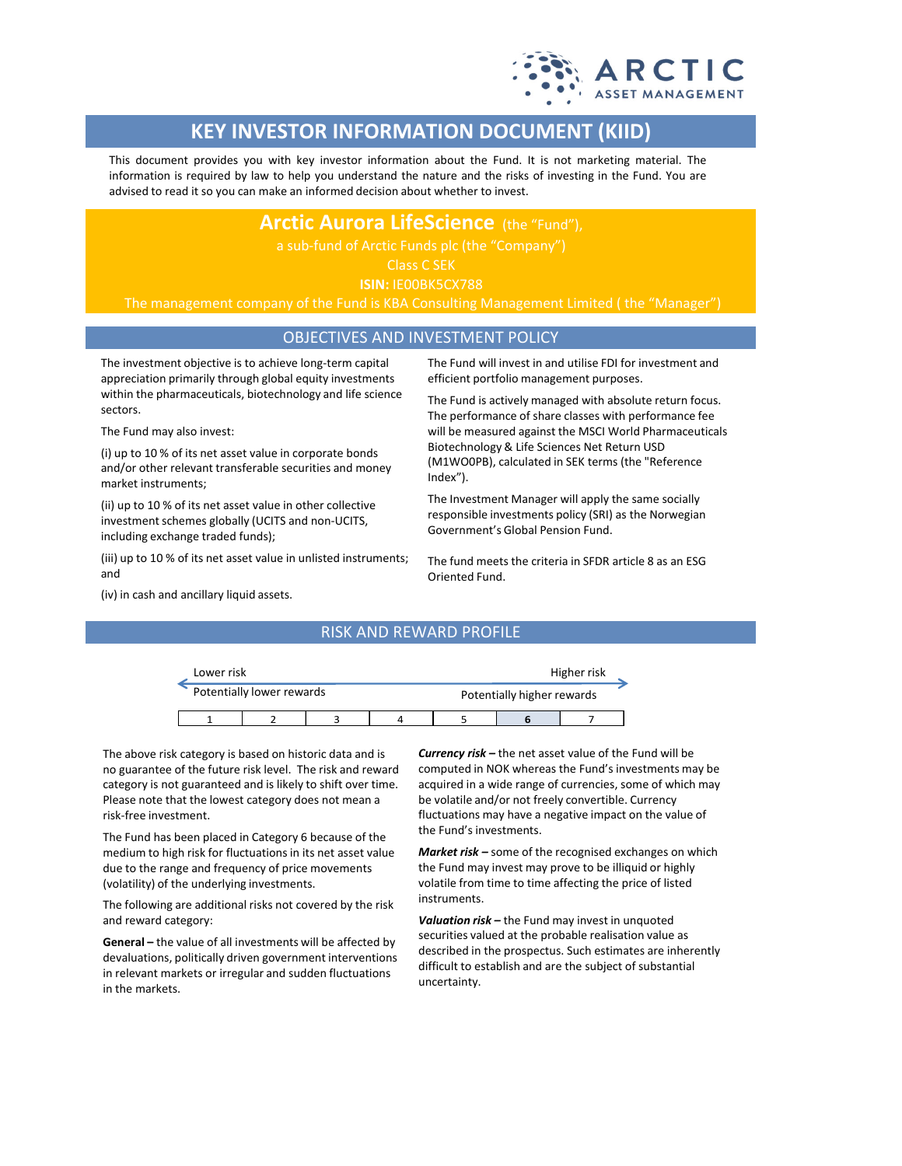

# **KEY INVESTOR INFORMATION DOCUMENT (KIID)**

This document provides you with key investor information about the Fund. It is not marketing material. The information is required by law to help you understand the nature and the risks of investing in the Fund. You are advised to read it so you can make an informed decision about whether to invest.

# **Arctic Aurora LifeScience** (the "Fund"),

# Class C SEK

**ISIN:** IE00BK5CX788

The management company of the Fund is KBA Consulting Management Limited ( the "Manager")

### OBJECTIVES AND INVESTMENT POLICY

The investment objective is to achieve long-term capital appreciation primarily through global equity investments within the pharmaceuticals, biotechnology and life science sectors.

The Fund may also invest:

(i) up to 10 % of its net asset value in corporate bonds and/or other relevant transferable securities and money market instruments;

(ii) up to 10 % of its net asset value in other collective investment schemes globally (UCITS and non-UCITS, including exchange traded funds);

(iii) up to 10 % of its net asset value in unlisted instruments; and

The Fund will invest in and utilise FDI for investment and efficient portfolio management purposes.

The Fund is actively managed with absolute return focus. The performance of share classes with performance fee will be measured against the MSCI World Pharmaceuticals Biotechnology & Life Sciences Net Return USD (M1WO0PB), calculated in SEK terms (the "Reference Index").

The Investment Manager will apply the same socially responsible investments policy (SRI) as the Norwegian Government's Global Pension Fund.

The fund meets the criteria in SFDR article 8 as an ESG Oriented Fund.

(iv) in cash and ancillary liquid assets.

### RISK AND REWARD PROFILE

| Lower risk |                           |  | Higher risk |                            |  |  |
|------------|---------------------------|--|-------------|----------------------------|--|--|
|            | Potentially lower rewards |  |             | Potentially higher rewards |  |  |
|            |                           |  |             |                            |  |  |

The above risk category is based on historic data and is no guarantee of the future risk level. The risk and reward category is not guaranteed and is likely to shift over time. Please note that the lowest category does not mean a risk-free investment.

The Fund has been placed in Category 6 because of the medium to high risk for fluctuations in its net asset value due to the range and frequency of price movements (volatility) of the underlying investments.

The following are additional risks not covered by the risk and reward category:

**General –** the value of all investments will be affected by devaluations, politically driven government interventions in relevant markets or irregular and sudden fluctuations in the markets.

*Currency risk –* the net asset value of the Fund will be computed in NOK whereas the Fund's investments may be acquired in a wide range of currencies, some of which may be volatile and/or not freely convertible. Currency fluctuations may have a negative impact on the value of the Fund's investments.

*Market risk –* some of the recognised exchanges on which the Fund may invest may prove to be illiquid or highly volatile from time to time affecting the price of listed instruments.

*Valuation risk –* the Fund may invest in unquoted securities valued at the probable realisation value as described in the prospectus. Such estimates are inherently difficult to establish and are the subject of substantial uncertainty.